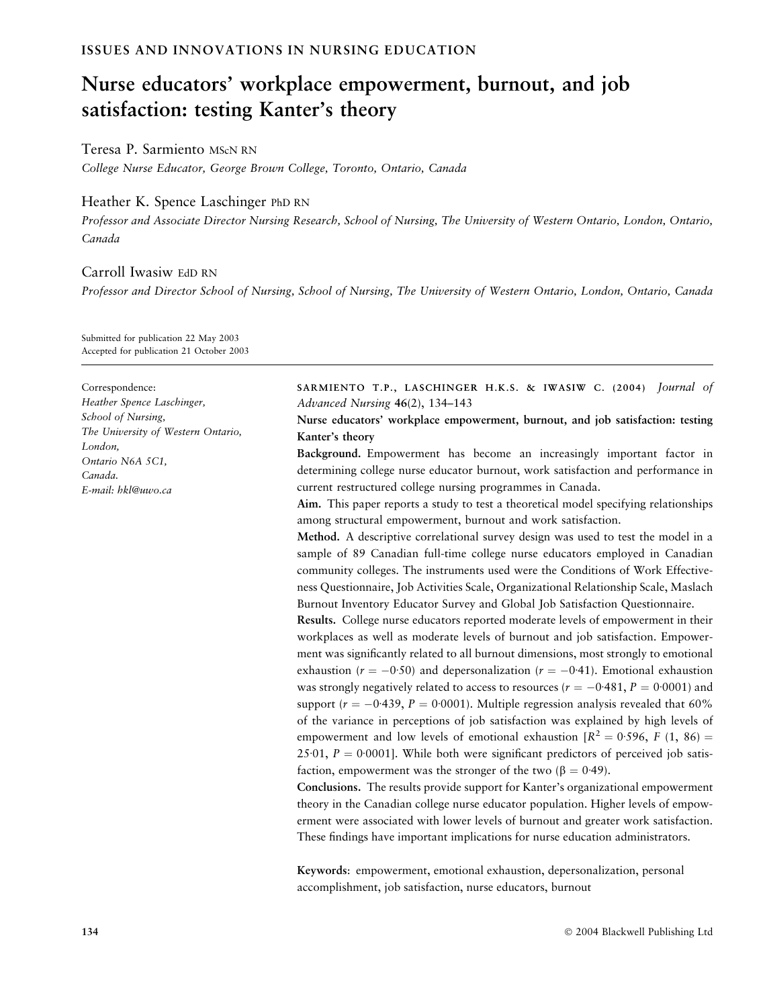# Nurse educators' workplace empowerment, burnout, and job satisfaction: testing Kanter's theory

Teresa P. Sarmiento MScN RN

College Nurse Educator, George Brown College, Toronto, Ontario, Canada

## Heather K. Spence Laschinger PhD RN

Professor and Associate Director Nursing Research, School of Nursing, The University of Western Ontario, London, Ontario, Canada

# Carroll Iwasiw EdD RN

Professor and Director School of Nursing, School of Nursing, The University of Western Ontario, London, Ontario, Canada

Submitted for publication 22 May 2003 Accepted for publication 21 October 2003

#### Correspondence:

Heather Spence Laschinger, School of Nursing, The University of Western Ontario, London, Ontario N6A 5C1, Canada. E-mail: hkl@uwo.ca

SARMIENTO T.P., LASCHINGER H.K.S. & IWASIW C. (2004) Journal of Advanced Nursing 46(2), 134–143

Nurse educators' workplace empowerment, burnout, and job satisfaction: testing Kanter's theory

Background. Empowerment has become an increasingly important factor in determining college nurse educator burnout, work satisfaction and performance in current restructured college nursing programmes in Canada.

Aim. This paper reports a study to test a theoretical model specifying relationships among structural empowerment, burnout and work satisfaction.

Method. A descriptive correlational survey design was used to test the model in a sample of 89 Canadian full-time college nurse educators employed in Canadian community colleges. The instruments used were the Conditions of Work Effectiveness Questionnaire, Job Activities Scale, Organizational Relationship Scale, Maslach Burnout Inventory Educator Survey and Global Job Satisfaction Questionnaire.

Results. College nurse educators reported moderate levels of empowerment in their workplaces as well as moderate levels of burnout and job satisfaction. Empowerment was significantly related to all burnout dimensions, most strongly to emotional exhaustion ( $r = -0.50$ ) and depersonalization ( $r = -0.41$ ). Emotional exhaustion was strongly negatively related to access to resources ( $r=-0{\cdot}481, P=0{\cdot}0001$ ) and support ( $r = -0.439$ ,  $P = 0.0001$ ). Multiple regression analysis revealed that 60% of the variance in perceptions of job satisfaction was explained by high levels of empowerment and low levels of emotional exhaustion  $[R^2 = 0.596, F (1, 86) =$ 25 $\cdot$ 01, P = 0 $\cdot$ 0001]. While both were significant predictors of perceived job satisfaction, empowerment was the stronger of the two  $(\beta = 0.49)$ .

Conclusions. The results provide support for Kanter's organizational empowerment theory in the Canadian college nurse educator population. Higher levels of empowerment were associated with lower levels of burnout and greater work satisfaction. These findings have important implications for nurse education administrators.

Keywords: empowerment, emotional exhaustion, depersonalization, personal accomplishment, job satisfaction, nurse educators, burnout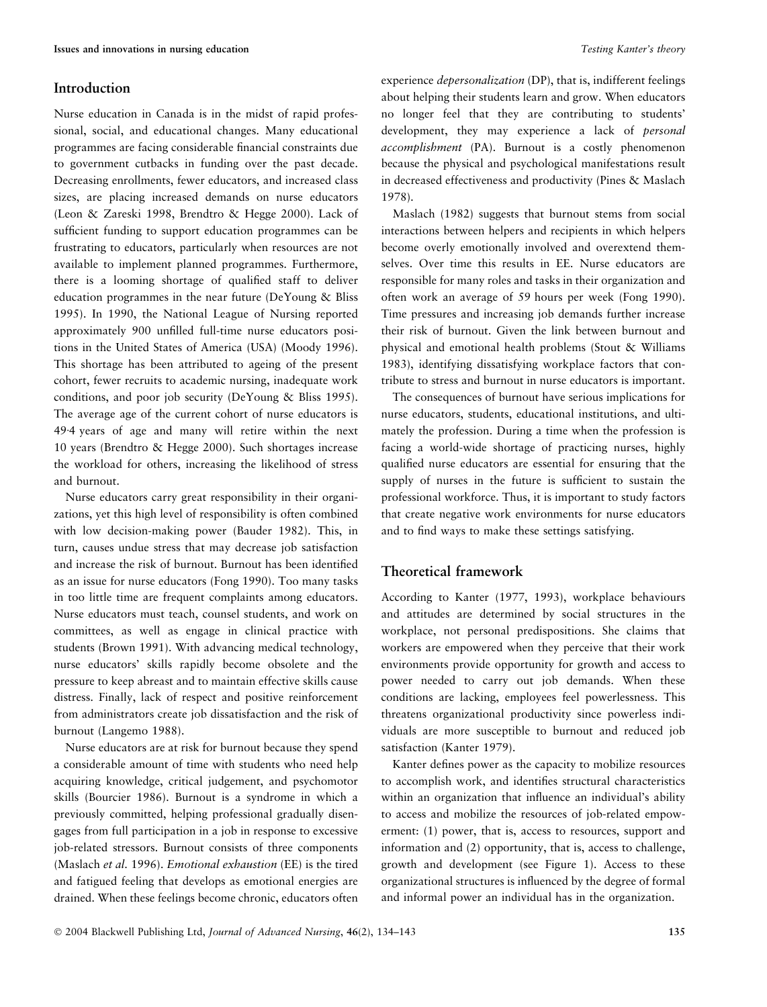## Introduction

Nurse education in Canada is in the midst of rapid professional, social, and educational changes. Many educational programmes are facing considerable financial constraints due to government cutbacks in funding over the past decade. Decreasing enrollments, fewer educators, and increased class sizes, are placing increased demands on nurse educators (Leon & Zareski 1998, Brendtro & Hegge 2000). Lack of sufficient funding to support education programmes can be frustrating to educators, particularly when resources are not available to implement planned programmes. Furthermore, there is a looming shortage of qualified staff to deliver education programmes in the near future (DeYoung & Bliss 1995). In 1990, the National League of Nursing reported approximately 900 unfilled full-time nurse educators positions in the United States of America (USA) (Moody 1996). This shortage has been attributed to ageing of the present cohort, fewer recruits to academic nursing, inadequate work conditions, and poor job security (DeYoung & Bliss 1995). The average age of the current cohort of nurse educators is 49.4 years of age and many will retire within the next 10 years (Brendtro & Hegge 2000). Such shortages increase the workload for others, increasing the likelihood of stress and burnout.

Nurse educators carry great responsibility in their organizations, yet this high level of responsibility is often combined with low decision-making power (Bauder 1982). This, in turn, causes undue stress that may decrease job satisfaction and increase the risk of burnout. Burnout has been identified as an issue for nurse educators (Fong 1990). Too many tasks in too little time are frequent complaints among educators. Nurse educators must teach, counsel students, and work on committees, as well as engage in clinical practice with students (Brown 1991). With advancing medical technology, nurse educators' skills rapidly become obsolete and the pressure to keep abreast and to maintain effective skills cause distress. Finally, lack of respect and positive reinforcement from administrators create job dissatisfaction and the risk of burnout (Langemo 1988).

Nurse educators are at risk for burnout because they spend a considerable amount of time with students who need help acquiring knowledge, critical judgement, and psychomotor skills (Bourcier 1986). Burnout is a syndrome in which a previously committed, helping professional gradually disengages from full participation in a job in response to excessive job-related stressors. Burnout consists of three components (Maslach et al. 1996). Emotional exhaustion (EE) is the tired and fatigued feeling that develops as emotional energies are drained. When these feelings become chronic, educators often experience depersonalization (DP), that is, indifferent feelings about helping their students learn and grow. When educators no longer feel that they are contributing to students' development, they may experience a lack of *personal* accomplishment (PA). Burnout is a costly phenomenon because the physical and psychological manifestations result in decreased effectiveness and productivity (Pines & Maslach 1978).

Maslach (1982) suggests that burnout stems from social interactions between helpers and recipients in which helpers become overly emotionally involved and overextend themselves. Over time this results in EE. Nurse educators are responsible for many roles and tasks in their organization and often work an average of 59 hours per week (Fong 1990). Time pressures and increasing job demands further increase their risk of burnout. Given the link between burnout and physical and emotional health problems (Stout & Williams 1983), identifying dissatisfying workplace factors that contribute to stress and burnout in nurse educators is important.

The consequences of burnout have serious implications for nurse educators, students, educational institutions, and ultimately the profession. During a time when the profession is facing a world-wide shortage of practicing nurses, highly qualified nurse educators are essential for ensuring that the supply of nurses in the future is sufficient to sustain the professional workforce. Thus, it is important to study factors that create negative work environments for nurse educators and to find ways to make these settings satisfying.

## Theoretical framework

According to Kanter (1977, 1993), workplace behaviours and attitudes are determined by social structures in the workplace, not personal predispositions. She claims that workers are empowered when they perceive that their work environments provide opportunity for growth and access to power needed to carry out job demands. When these conditions are lacking, employees feel powerlessness. This threatens organizational productivity since powerless individuals are more susceptible to burnout and reduced job satisfaction (Kanter 1979).

Kanter defines power as the capacity to mobilize resources to accomplish work, and identifies structural characteristics within an organization that influence an individual's ability to access and mobilize the resources of job-related empowerment: (1) power, that is, access to resources, support and information and (2) opportunity, that is, access to challenge, growth and development (see Figure 1). Access to these organizational structures is influenced by the degree of formal and informal power an individual has in the organization.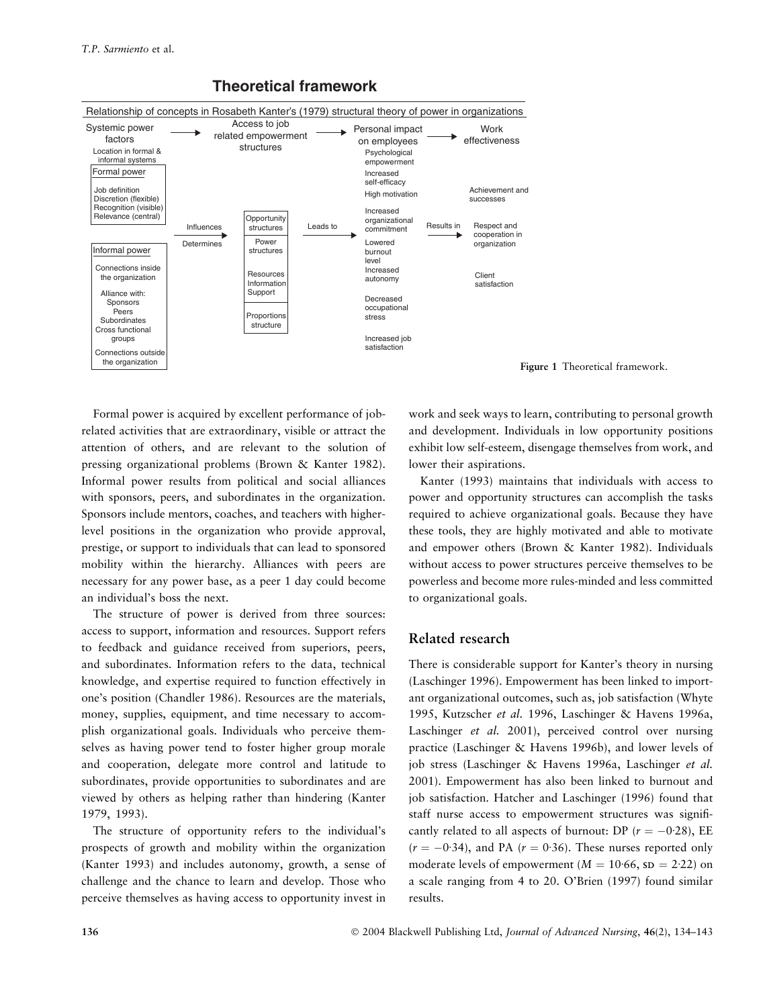

# **Theoretical framework**



Formal power is acquired by excellent performance of jobrelated activities that are extraordinary, visible or attract the attention of others, and are relevant to the solution of pressing organizational problems (Brown & Kanter 1982). Informal power results from political and social alliances with sponsors, peers, and subordinates in the organization. Sponsors include mentors, coaches, and teachers with higherlevel positions in the organization who provide approval, prestige, or support to individuals that can lead to sponsored mobility within the hierarchy. Alliances with peers are necessary for any power base, as a peer 1 day could become an individual's boss the next.

The structure of power is derived from three sources: access to support, information and resources. Support refers to feedback and guidance received from superiors, peers, and subordinates. Information refers to the data, technical knowledge, and expertise required to function effectively in one's position (Chandler 1986). Resources are the materials, money, supplies, equipment, and time necessary to accomplish organizational goals. Individuals who perceive themselves as having power tend to foster higher group morale and cooperation, delegate more control and latitude to subordinates, provide opportunities to subordinates and are viewed by others as helping rather than hindering (Kanter 1979, 1993).

The structure of opportunity refers to the individual's prospects of growth and mobility within the organization (Kanter 1993) and includes autonomy, growth, a sense of challenge and the chance to learn and develop. Those who perceive themselves as having access to opportunity invest in work and seek ways to learn, contributing to personal growth and development. Individuals in low opportunity positions exhibit low self-esteem, disengage themselves from work, and lower their aspirations.

Kanter (1993) maintains that individuals with access to power and opportunity structures can accomplish the tasks required to achieve organizational goals. Because they have these tools, they are highly motivated and able to motivate and empower others (Brown & Kanter 1982). Individuals without access to power structures perceive themselves to be powerless and become more rules-minded and less committed to organizational goals.

## Related research

There is considerable support for Kanter's theory in nursing (Laschinger 1996). Empowerment has been linked to important organizational outcomes, such as, job satisfaction (Whyte 1995, Kutzscher et al. 1996, Laschinger & Havens 1996a, Laschinger et al. 2001), perceived control over nursing practice (Laschinger & Havens 1996b), and lower levels of job stress (Laschinger & Havens 1996a, Laschinger et al. 2001). Empowerment has also been linked to burnout and job satisfaction. Hatcher and Laschinger (1996) found that staff nurse access to empowerment structures was significantly related to all aspects of burnout: DP ( $r = -0.28$ ), EE  $(r = -0.34)$ , and PA  $(r = 0.36)$ . These nurses reported only moderate levels of empowerment ( $M = 10.66$ , sp = 2.22) on a scale ranging from 4 to 20. O'Brien (1997) found similar results.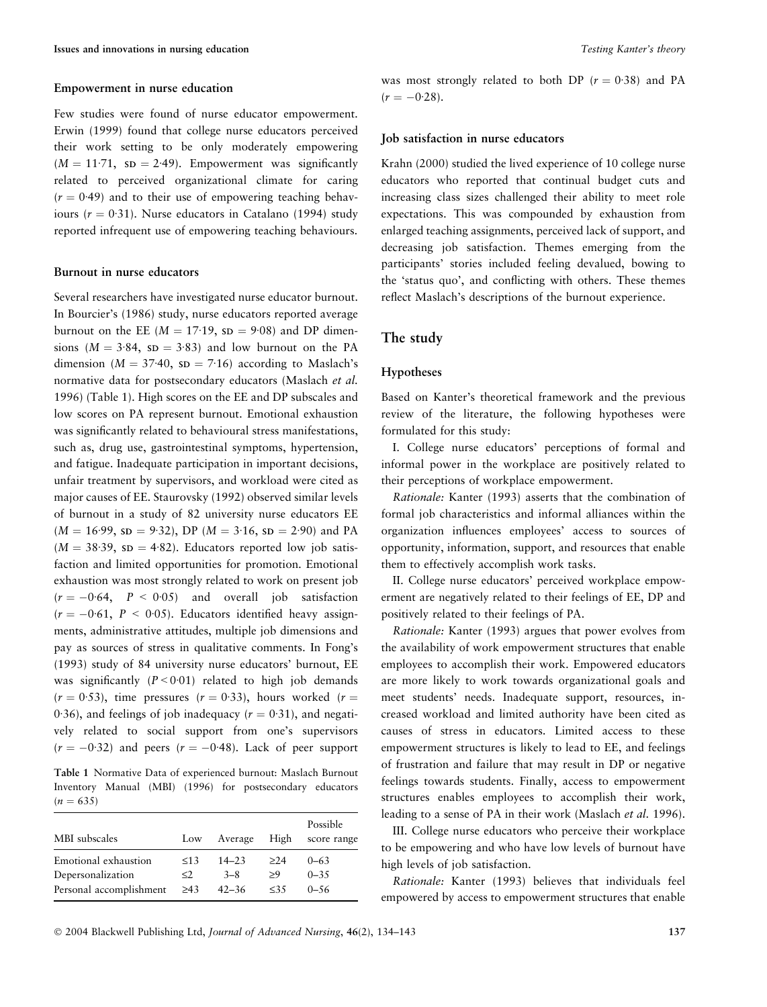#### Empowerment in nurse education

Few studies were found of nurse educator empowerment. Erwin (1999) found that college nurse educators perceived their work setting to be only moderately empowering  $(M = 11.71, SD = 2.49)$ . Empowerment was significantly related to perceived organizational climate for caring  $(r = 0.49)$  and to their use of empowering teaching behaviours ( $r = 0.31$ ). Nurse educators in Catalano (1994) study reported infrequent use of empowering teaching behaviours.

#### Burnout in nurse educators

Several researchers have investigated nurse educator burnout. In Bourcier's (1986) study, nurse educators reported average burnout on the EE ( $M = 17.19$ , sp = 9.08) and DP dimensions ( $M = 3.84$ , sp = 3.83) and low burnout on the PA dimension ( $M = 37.40$ , sp = 7.16) according to Maslach's normative data for postsecondary educators (Maslach et al. 1996) (Table 1). High scores on the EE and DP subscales and low scores on PA represent burnout. Emotional exhaustion was significantly related to behavioural stress manifestations, such as, drug use, gastrointestinal symptoms, hypertension, and fatigue. Inadequate participation in important decisions, unfair treatment by supervisors, and workload were cited as major causes of EE. Staurovsky (1992) observed similar levels of burnout in a study of 82 university nurse educators EE  $(M = 16.99, SD = 9.32), DP (M = 3.16, SD = 2.90)$  and PA  $(M = 38.39, sD = 4.82)$ . Educators reported low job satisfaction and limited opportunities for promotion. Emotional exhaustion was most strongly related to work on present job  $(r = -0.64, P < 0.05)$  and overall job satisfaction  $(r = -0.61, P < 0.05)$ . Educators identified heavy assignments, administrative attitudes, multiple job dimensions and pay as sources of stress in qualitative comments. In Fong's (1993) study of 84 university nurse educators' burnout, EE was significantly  $(P < 0.01)$  related to high job demands  $(r = 0.53)$ , time pressures  $(r = 0.33)$ , hours worked  $(r = 0.53)$ 0.36), and feelings of job inadequacy ( $r = 0.31$ ), and negatively related to social support from one's supervisors  $(r = -0.32)$  and peers  $(r = -0.48)$ . Lack of peer support

Table 1 Normative Data of experienced burnout: Maslach Burnout Inventory Manual (MBI) (1996) for postsecondary educators  $(n = 635)$ 

| MBI subscales           | Low       | Average   | High       | Possible<br>score range |
|-------------------------|-----------|-----------|------------|-------------------------|
| Emotional exhaustion    | $\leq$ 13 | $14 - 23$ | >2.4       | $0 - 63$                |
| Depersonalization       | ≤2        | $3 - 8$   | >9         | $0 - 35$                |
| Personal accomplishment | $\geq$ 43 | $42 - 36$ | $\leq 3.5$ | $0 - 56$                |

was most strongly related to both DP ( $r = 0.38$ ) and PA  $(r = -0.28)$ .

#### Job satisfaction in nurse educators

Krahn (2000) studied the lived experience of 10 college nurse educators who reported that continual budget cuts and increasing class sizes challenged their ability to meet role expectations. This was compounded by exhaustion from enlarged teaching assignments, perceived lack of support, and decreasing job satisfaction. Themes emerging from the participants' stories included feeling devalued, bowing to the 'status quo', and conflicting with others. These themes reflect Maslach's descriptions of the burnout experience.

### The study

#### Hypotheses

Based on Kanter's theoretical framework and the previous review of the literature, the following hypotheses were formulated for this study:

I. College nurse educators' perceptions of formal and informal power in the workplace are positively related to their perceptions of workplace empowerment.

Rationale: Kanter (1993) asserts that the combination of formal job characteristics and informal alliances within the organization influences employees' access to sources of opportunity, information, support, and resources that enable them to effectively accomplish work tasks.

II. College nurse educators' perceived workplace empowerment are negatively related to their feelings of EE, DP and positively related to their feelings of PA.

Rationale: Kanter (1993) argues that power evolves from the availability of work empowerment structures that enable employees to accomplish their work. Empowered educators are more likely to work towards organizational goals and meet students' needs. Inadequate support, resources, increased workload and limited authority have been cited as causes of stress in educators. Limited access to these empowerment structures is likely to lead to EE, and feelings of frustration and failure that may result in DP or negative feelings towards students. Finally, access to empowerment structures enables employees to accomplish their work, leading to a sense of PA in their work (Maslach et al. 1996).

III. College nurse educators who perceive their workplace to be empowering and who have low levels of burnout have high levels of job satisfaction.

Rationale: Kanter (1993) believes that individuals feel empowered by access to empowerment structures that enable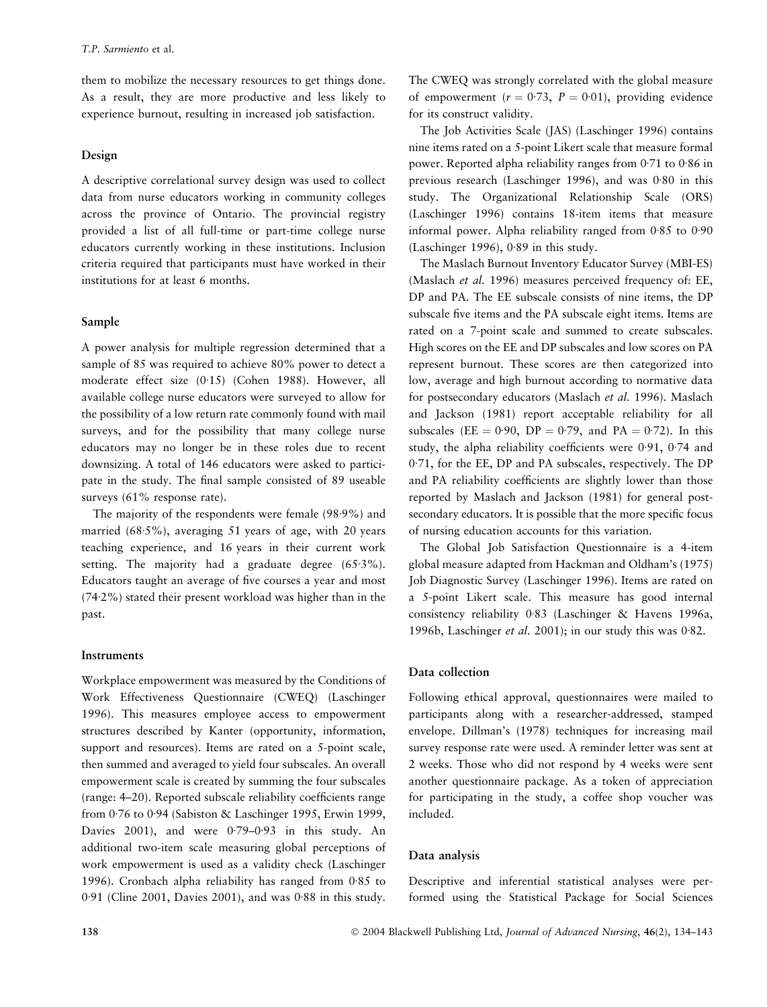them to mobilize the necessary resources to get things done. As a result, they are more productive and less likely to experience burnout, resulting in increased job satisfaction.

## Design

A descriptive correlational survey design was used to collect data from nurse educators working in community colleges across the province of Ontario. The provincial registry provided a list of all full-time or part-time college nurse educators currently working in these institutions. Inclusion criteria required that participants must have worked in their institutions for at least 6 months.

## Sample

A power analysis for multiple regression determined that a sample of 85 was required to achieve 80% power to detect a moderate effect size (0.15) (Cohen 1988). However, all available college nurse educators were surveyed to allow for the possibility of a low return rate commonly found with mail surveys, and for the possibility that many college nurse educators may no longer be in these roles due to recent downsizing. A total of 146 educators were asked to participate in the study. The final sample consisted of 89 useable surveys (61% response rate).

The majority of the respondents were female  $(98.9\%)$  and married  $(68.5\%)$ , averaging 51 years of age, with 20 years teaching experience, and 16 years in their current work setting. The majority had a graduate degree  $(65.3\%)$ . Educators taught an average of five courses a year and most  $(74.2%)$  stated their present workload was higher than in the past.

## **Instruments**

Workplace empowerment was measured by the Conditions of Work Effectiveness Questionnaire (CWEQ) (Laschinger 1996). This measures employee access to empowerment structures described by Kanter (opportunity, information, support and resources). Items are rated on a 5-point scale, then summed and averaged to yield four subscales. An overall empowerment scale is created by summing the four subscales (range: 4–20). Reported subscale reliability coefficients range from 0.76 to 0.94 (Sabiston & Laschinger 1995, Erwin 1999, Davies 2001), and were  $0.79-0.93$  in this study. An additional two-item scale measuring global perceptions of work empowerment is used as a validity check (Laschinger 1996). Cronbach alpha reliability has ranged from  $0.85$  to  $0.91$  (Cline 2001, Davies 2001), and was  $0.88$  in this study.

The CWEQ was strongly correlated with the global measure of empowerment ( $r = 0.73$ ,  $P = 0.01$ ), providing evidence for its construct validity.

The Job Activities Scale (JAS) (Laschinger 1996) contains nine items rated on a 5-point Likert scale that measure formal power. Reported alpha reliability ranges from  $0.71$  to  $0.86$  in previous research (Laschinger 1996), and was  $0.80$  in this study. The Organizational Relationship Scale (ORS) (Laschinger 1996) contains 18-item items that measure informal power. Alpha reliability ranged from  $0.85$  to  $0.90$ (Laschinger 1996),  $0.89$  in this study.

The Maslach Burnout Inventory Educator Survey (MBI-ES) (Maslach et al. 1996) measures perceived frequency of: EE, DP and PA. The EE subscale consists of nine items, the DP subscale five items and the PA subscale eight items. Items are rated on a 7-point scale and summed to create subscales. High scores on the EE and DP subscales and low scores on PA represent burnout. These scores are then categorized into low, average and high burnout according to normative data for postsecondary educators (Maslach et al. 1996). Maslach and Jackson (1981) report acceptable reliability for all subscales (EE = 0.90, DP = 0.79, and PA = 0.72). In this study, the alpha reliability coefficients were  $0.91$ ,  $0.74$  and 0.71, for the EE, DP and PA subscales, respectively. The DP and PA reliability coefficients are slightly lower than those reported by Maslach and Jackson (1981) for general postsecondary educators. It is possible that the more specific focus of nursing education accounts for this variation.

The Global Job Satisfaction Questionnaire is a 4-item global measure adapted from Hackman and Oldham's (1975) Job Diagnostic Survey (Laschinger 1996). Items are rated on a 5-point Likert scale. This measure has good internal consistency reliability 0.83 (Laschinger & Havens 1996a, 1996b, Laschinger *et al.* 2001); in our study this was  $0.82$ .

### Data collection

Following ethical approval, questionnaires were mailed to participants along with a researcher-addressed, stamped envelope. Dillman's (1978) techniques for increasing mail survey response rate were used. A reminder letter was sent at 2 weeks. Those who did not respond by 4 weeks were sent another questionnaire package. As a token of appreciation for participating in the study, a coffee shop voucher was included.

#### Data analysis

Descriptive and inferential statistical analyses were performed using the Statistical Package for Social Sciences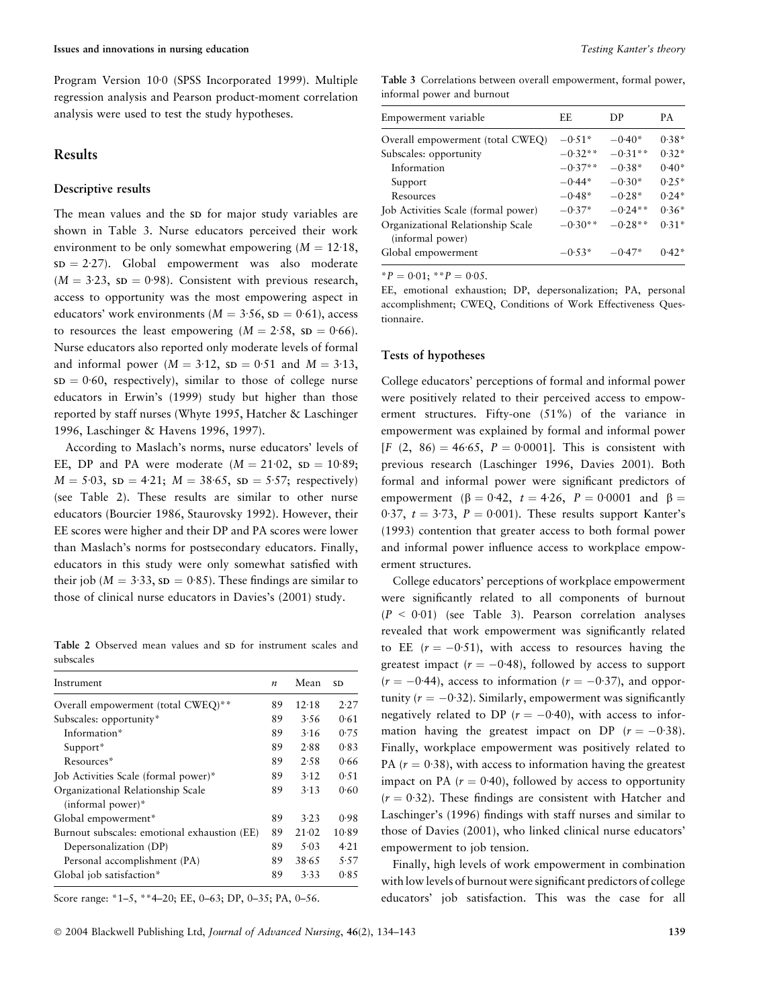Program Version 10<sup>.</sup>0 (SPSS Incorporated 1999). Multiple regression analysis and Pearson product-moment correlation analysis were used to test the study hypotheses.

## Results

### Descriptive results

The mean values and the SD for major study variables are shown in Table 3. Nurse educators perceived their work environment to be only somewhat empowering  $(M = 12.18,$  $SD = 2.27$ . Global empowerment was also moderate  $(M = 3.23, SD = 0.98)$ . Consistent with previous research, access to opportunity was the most empowering aspect in educators' work environments ( $M = 3.56$ , sp = 0.61), access to resources the least empowering  $(M = 2.58, SD = 0.66)$ . Nurse educators also reported only moderate levels of formal and informal power ( $M = 3.12$ , sp = 0.51 and  $M = 3.13$ ,  $SD = 0.60$ , respectively), similar to those of college nurse educators in Erwin's (1999) study but higher than those reported by staff nurses (Whyte 1995, Hatcher & Laschinger 1996, Laschinger & Havens 1996, 1997).

According to Maslach's norms, nurse educators' levels of EE, DP and PA were moderate  $(M = 21.02, SD = 10.89;$  $M = 5.03$ ,  $SD = 4.21$ ;  $M = 38.65$ ,  $SD = 5.57$ ; respectively) (see Table 2). These results are similar to other nurse educators (Bourcier 1986, Staurovsky 1992). However, their EE scores were higher and their DP and PA scores were lower than Maslach's norms for postsecondary educators. Finally, educators in this study were only somewhat satisfied with their job ( $M = 3.33$ , sp = 0.85). These findings are similar to those of clinical nurse educators in Davies's (2001) study.

Table 2 Observed mean values and SD for instrument scales and subscales

| Instrument                                                           | $\boldsymbol{n}$ | Mean  | SD    |
|----------------------------------------------------------------------|------------------|-------|-------|
| Overall empowerment (total CWEQ)**                                   | 89               | 12.18 | 2.27  |
| Subscales: opportunity*                                              | 89               | 3.56  | 0.61  |
| Information*                                                         | 89               | 3.16  | 0.75  |
| Support*                                                             | 89               | 2.88  | 0.83  |
| Resources*                                                           | 89               | 2.58  | 0.66  |
| Job Activities Scale (formal power)*                                 | 89               | 3.12  | 0.51  |
| Organizational Relationship Scale<br>$(informal power)$ <sup>*</sup> | 89               | 3.13  | 0.60  |
| Global empowerment*                                                  | 89               | 3.23  | 0.98  |
| Burnout subscales: emotional exhaustion (EE)                         | 89               | 21.02 | 10.89 |
| Depersonalization (DP)                                               | 89               | 5.03  | 4.21  |
| Personal accomplishment (PA)                                         | 89               | 38.65 | 5.57  |
| Global job satisfaction*                                             | 89               | 3.33  | 0.85  |
|                                                                      |                  |       |       |

Score range: \*1–5, \*\*4–20; EE, 0–63; DP, 0–35; PA, 0–56.

Table 3 Correlations between overall empowerment, formal power, informal power and burnout

| Empowerment variable                                  | EF.       | DP        | PА      |
|-------------------------------------------------------|-----------|-----------|---------|
| Overall empowerment (total CWEQ)                      | $-0.51*$  | $-0.40*$  | $0.38*$ |
| Subscales: opportunity                                | $-0.32**$ | $-0.31**$ | $0.32*$ |
| Information                                           | $-0.37**$ | $-0.38*$  | $0.40*$ |
| Support                                               | $-0.44*$  | $-0.30*$  | $0.25*$ |
| Resources                                             | $-0.48*$  | $-0.28*$  | $0.24*$ |
| Job Activities Scale (formal power)                   | $-0.37*$  | $-0.24**$ | $0.36*$ |
| Organizational Relationship Scale<br>(informal power) | $-0.30**$ | $-0.28**$ | $0.31*$ |
| Global empowerment                                    | $-0.53*$  | $-0.47*$  | $0.42*$ |

 $*P = 0.01; *P = 0.05.$ 

EE, emotional exhaustion; DP, depersonalization; PA, personal accomplishment; CWEQ, Conditions of Work Effectiveness Questionnaire.

#### Tests of hypotheses

College educators' perceptions of formal and informal power were positively related to their perceived access to empowerment structures. Fifty-one (51%) of the variance in empowerment was explained by formal and informal power  $[F (2, 86) = 46.65, P = 0.0001]$ . This is consistent with previous research (Laschinger 1996, Davies 2001). Both formal and informal power were significant predictors of empowerment ( $\beta = 0.42$ ,  $t = 4.26$ ,  $P = 0.0001$  and  $\beta =$ 0.37,  $t = 3.73$ ,  $P = 0.001$ ). These results support Kanter's (1993) contention that greater access to both formal power and informal power influence access to workplace empowerment structures.

College educators' perceptions of workplace empowerment were significantly related to all components of burnout  $(P < 0.01)$  (see Table 3). Pearson correlation analyses revealed that work empowerment was significantly related to EE  $(r = -0.51)$ , with access to resources having the greatest impact ( $r = -0.48$ ), followed by access to support  $(r = -0.44)$ , access to information  $(r = -0.37)$ , and opportunity ( $r = -0.32$ ). Similarly, empowerment was significantly negatively related to DP ( $r = -0.40$ ), with access to information having the greatest impact on DP  $(r = -0.38)$ . Finally, workplace empowerment was positively related to PA  $(r = 0.38)$ , with access to information having the greatest impact on PA ( $r = 0.40$ ), followed by access to opportunity  $(r = 0.32)$ . These findings are consistent with Hatcher and Laschinger's (1996) findings with staff nurses and similar to those of Davies (2001), who linked clinical nurse educators' empowerment to job tension.

Finally, high levels of work empowerment in combination with low levels of burnout were significant predictors of college educators' job satisfaction. This was the case for all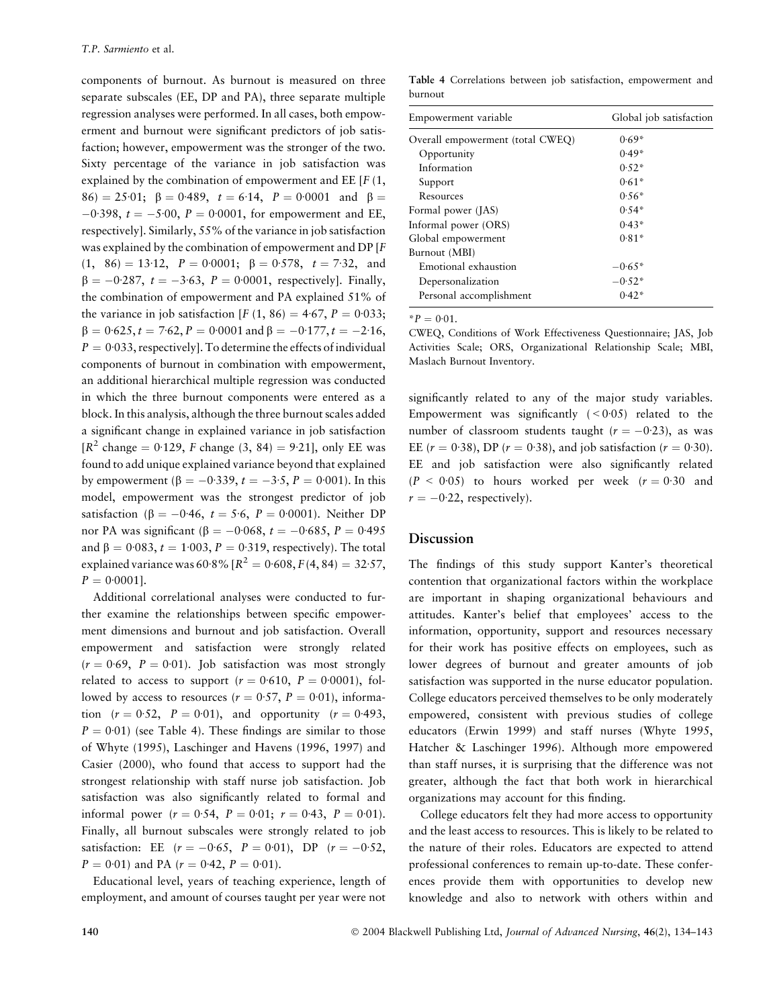components of burnout. As burnout is measured on three separate subscales (EE, DP and PA), three separate multiple regression analyses were performed. In all cases, both empowerment and burnout were significant predictors of job satisfaction; however, empowerment was the stronger of the two. Sixty percentage of the variance in job satisfaction was explained by the combination of empowerment and EE  $[F(1,$  $86$  = 25.01;  $\beta$  = 0.489,  $t = 6.14$ ,  $P = 0.0001$  and  $\beta =$  $-0.398$ ,  $t = -5.00$ ,  $P = 0.0001$ , for empowerment and EE, respectively]. Similarly, 55% of the variance in job satisfaction was explained by the combination of empowerment and DP [F  $(1, 86) = 13.12, P = 0.0001; \beta = 0.578, t = 7.32, and$  $\beta = -0.287, t = -3.63, P = 0.0001$ , respectively]. Finally, the combination of empowerment and PA explained 51% of the variance in job satisfaction [F (1, 86) = 4.67, P = 0.033;  $\beta = 0.625, t = 7.62, P = 0.0001$  and  $\beta = -0.177, t = -2.16,$  $P = 0.033$ , respectively]. To determine the effects of individual components of burnout in combination with empowerment, an additional hierarchical multiple regression was conducted in which the three burnout components were entered as a block. In this analysis, although the three burnout scales added a significant change in explained variance in job satisfaction  $[R^2 \text{ change} = 0.129, F \text{ change } (3, 84) = 9.21]$ , only EE was found to add unique explained variance beyond that explained by empowerment ( $\beta = -0.339$ ,  $t = -3.5$ ,  $P = 0.001$ ). In this model, empowerment was the strongest predictor of job satisfaction ( $\beta = -0.46$ ,  $t = 5.6$ ,  $P = 0.0001$ ). Neither DP nor PA was significant (β =  $-0.068$ , t =  $-0.685$ , P = 0.495 and  $\beta = 0.083$ ,  $t = 1.003$ ,  $P = 0.319$ , respectively). The total explained variance was 60.8%  $[R^2 = 0.608, F(4, 84) = 32.57,$  $P = 0.0001$ .

Additional correlational analyses were conducted to further examine the relationships between specific empowerment dimensions and burnout and job satisfaction. Overall empowerment and satisfaction were strongly related  $(r = 0.69, P = 0.01)$ . Job satisfaction was most strongly related to access to support ( $r = 0.610$ ,  $P = 0.0001$ ), followed by access to resources ( $r = 0.57$ ,  $P = 0.01$ ), information  $(r = 0.52, P = 0.01)$ , and opportunity  $(r = 0.493, P = 0.691)$  $P = 0.01$ ) (see Table 4). These findings are similar to those of Whyte (1995), Laschinger and Havens (1996, 1997) and Casier (2000), who found that access to support had the strongest relationship with staff nurse job satisfaction. Job satisfaction was also significantly related to formal and informal power  $(r = 0.54, P = 0.01; r = 0.43, P = 0.01)$ . Finally, all burnout subscales were strongly related to job satisfaction: EE  $(r = -0.65, P = 0.01)$ , DP  $(r = -0.52,$  $P = 0.01$  and PA ( $r = 0.42$ ,  $P = 0.01$ ).

Educational level, years of teaching experience, length of employment, and amount of courses taught per year were not

Table 4 Correlations between job satisfaction, empowerment and burnout

| Empowerment variable             | Global job satisfaction |
|----------------------------------|-------------------------|
| Overall empowerment (total CWEQ) | $0.69*$                 |
| Opportunity                      | $0.49*$                 |
| Information                      | $0.52*$                 |
| Support                          | $0.61*$                 |
| Resources                        | $0.56*$                 |
| Formal power (JAS)               | $0.54*$                 |
| Informal power (ORS)             | $0.43*$                 |
| Global empowerment               | $0.81*$                 |
| Burnout (MBI)                    |                         |
| Emotional exhaustion             | $-0.65*$                |
| Depersonalization                | $-0.52*$                |
| Personal accomplishment          | $0.42*$                 |

 $^*P = 0.01$ .

CWEQ, Conditions of Work Effectiveness Questionnaire; JAS, Job Activities Scale; ORS, Organizational Relationship Scale; MBI, Maslach Burnout Inventory.

significantly related to any of the major study variables. Empowerment was significantly  $( $0.05$ ) related to the$ number of classroom students taught ( $r = -0.23$ ), as was EE ( $r = 0.38$ ), DP ( $r = 0.38$ ), and job satisfaction ( $r = 0.30$ ). EE and job satisfaction were also significantly related  $(P < 0.05)$  to hours worked per week  $(r = 0.30)$  and  $r = -0.22$ , respectively).

## **Discussion**

The findings of this study support Kanter's theoretical contention that organizational factors within the workplace are important in shaping organizational behaviours and attitudes. Kanter's belief that employees' access to the information, opportunity, support and resources necessary for their work has positive effects on employees, such as lower degrees of burnout and greater amounts of job satisfaction was supported in the nurse educator population. College educators perceived themselves to be only moderately empowered, consistent with previous studies of college educators (Erwin 1999) and staff nurses (Whyte 1995, Hatcher & Laschinger 1996). Although more empowered than staff nurses, it is surprising that the difference was not greater, although the fact that both work in hierarchical organizations may account for this finding.

College educators felt they had more access to opportunity and the least access to resources. This is likely to be related to the nature of their roles. Educators are expected to attend professional conferences to remain up-to-date. These conferences provide them with opportunities to develop new knowledge and also to network with others within and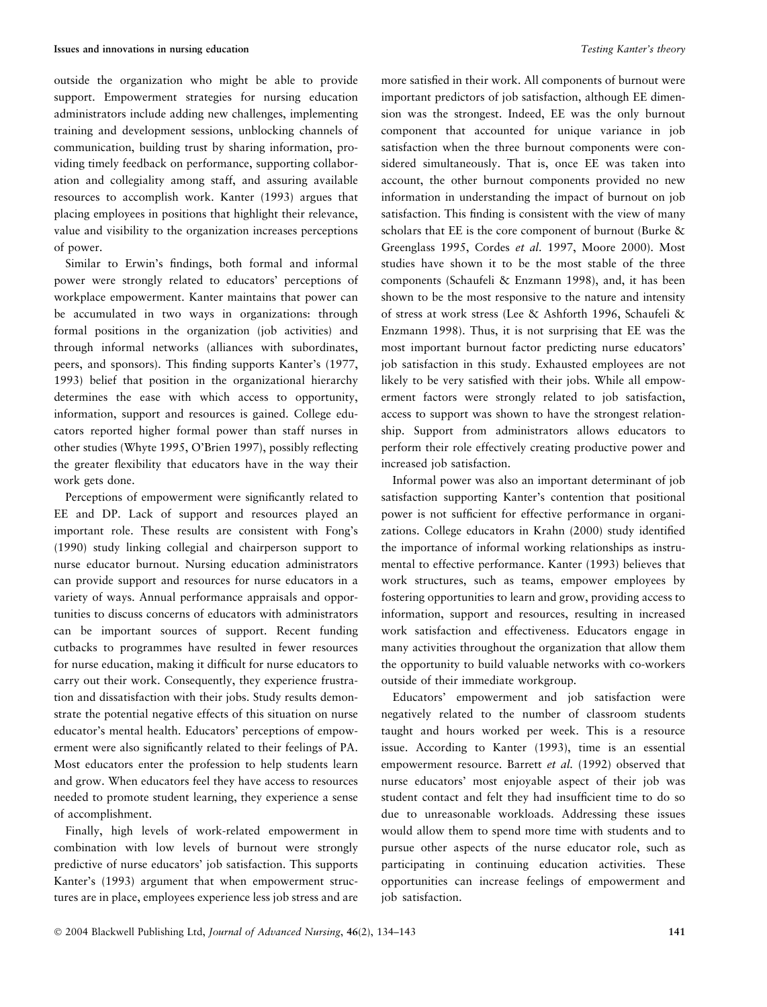outside the organization who might be able to provide support. Empowerment strategies for nursing education administrators include adding new challenges, implementing training and development sessions, unblocking channels of communication, building trust by sharing information, providing timely feedback on performance, supporting collaboration and collegiality among staff, and assuring available resources to accomplish work. Kanter (1993) argues that placing employees in positions that highlight their relevance, value and visibility to the organization increases perceptions of power.

Similar to Erwin's findings, both formal and informal power were strongly related to educators' perceptions of workplace empowerment. Kanter maintains that power can be accumulated in two ways in organizations: through formal positions in the organization (job activities) and through informal networks (alliances with subordinates, peers, and sponsors). This finding supports Kanter's (1977, 1993) belief that position in the organizational hierarchy determines the ease with which access to opportunity, information, support and resources is gained. College educators reported higher formal power than staff nurses in other studies (Whyte 1995, O'Brien 1997), possibly reflecting the greater flexibility that educators have in the way their work gets done.

Perceptions of empowerment were significantly related to EE and DP. Lack of support and resources played an important role. These results are consistent with Fong's (1990) study linking collegial and chairperson support to nurse educator burnout. Nursing education administrators can provide support and resources for nurse educators in a variety of ways. Annual performance appraisals and opportunities to discuss concerns of educators with administrators can be important sources of support. Recent funding cutbacks to programmes have resulted in fewer resources for nurse education, making it difficult for nurse educators to carry out their work. Consequently, they experience frustration and dissatisfaction with their jobs. Study results demonstrate the potential negative effects of this situation on nurse educator's mental health. Educators' perceptions of empowerment were also significantly related to their feelings of PA. Most educators enter the profession to help students learn and grow. When educators feel they have access to resources needed to promote student learning, they experience a sense of accomplishment.

Finally, high levels of work-related empowerment in combination with low levels of burnout were strongly predictive of nurse educators' job satisfaction. This supports Kanter's (1993) argument that when empowerment structures are in place, employees experience less job stress and are more satisfied in their work. All components of burnout were important predictors of job satisfaction, although EE dimension was the strongest. Indeed, EE was the only burnout component that accounted for unique variance in job satisfaction when the three burnout components were considered simultaneously. That is, once EE was taken into account, the other burnout components provided no new information in understanding the impact of burnout on job satisfaction. This finding is consistent with the view of many scholars that EE is the core component of burnout (Burke & Greenglass 1995, Cordes et al. 1997, Moore 2000). Most studies have shown it to be the most stable of the three components (Schaufeli & Enzmann 1998), and, it has been shown to be the most responsive to the nature and intensity of stress at work stress (Lee & Ashforth 1996, Schaufeli & Enzmann 1998). Thus, it is not surprising that EE was the most important burnout factor predicting nurse educators' job satisfaction in this study. Exhausted employees are not likely to be very satisfied with their jobs. While all empowerment factors were strongly related to job satisfaction, access to support was shown to have the strongest relationship. Support from administrators allows educators to perform their role effectively creating productive power and increased job satisfaction.

Informal power was also an important determinant of job satisfaction supporting Kanter's contention that positional power is not sufficient for effective performance in organizations. College educators in Krahn (2000) study identified the importance of informal working relationships as instrumental to effective performance. Kanter (1993) believes that work structures, such as teams, empower employees by fostering opportunities to learn and grow, providing access to information, support and resources, resulting in increased work satisfaction and effectiveness. Educators engage in many activities throughout the organization that allow them the opportunity to build valuable networks with co-workers outside of their immediate workgroup.

Educators' empowerment and job satisfaction were negatively related to the number of classroom students taught and hours worked per week. This is a resource issue. According to Kanter (1993), time is an essential empowerment resource. Barrett et al. (1992) observed that nurse educators' most enjoyable aspect of their job was student contact and felt they had insufficient time to do so due to unreasonable workloads. Addressing these issues would allow them to spend more time with students and to pursue other aspects of the nurse educator role, such as participating in continuing education activities. These opportunities can increase feelings of empowerment and job satisfaction.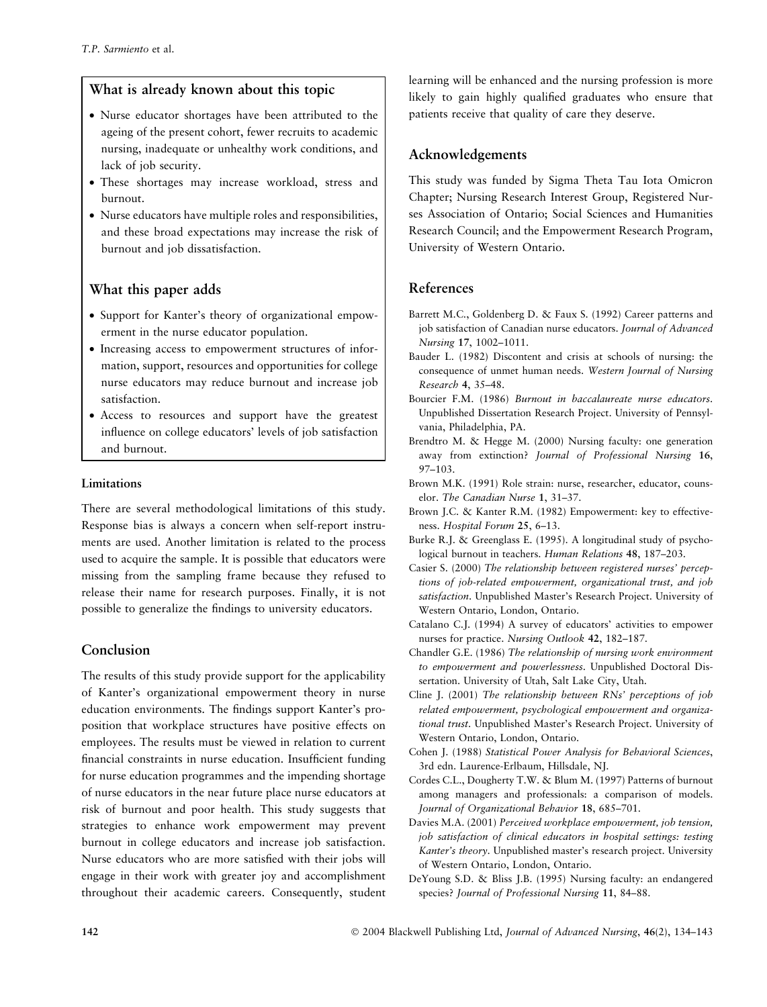## What is already known about this topic

- Nurse educator shortages have been attributed to the ageing of the present cohort, fewer recruits to academic nursing, inadequate or unhealthy work conditions, and lack of job security.
- These shortages may increase workload, stress and burnout.
- Nurse educators have multiple roles and responsibilities, and these broad expectations may increase the risk of burnout and job dissatisfaction.

# What this paper adds

- Support for Kanter's theory of organizational empowerment in the nurse educator population.
- Increasing access to empowerment structures of information, support, resources and opportunities for college nurse educators may reduce burnout and increase job satisfaction.
- Access to resources and support have the greatest influence on college educators' levels of job satisfaction and burnout.

## Limitations

There are several methodological limitations of this study. Response bias is always a concern when self-report instruments are used. Another limitation is related to the process used to acquire the sample. It is possible that educators were missing from the sampling frame because they refused to release their name for research purposes. Finally, it is not possible to generalize the findings to university educators.

# Conclusion

The results of this study provide support for the applicability of Kanter's organizational empowerment theory in nurse education environments. The findings support Kanter's proposition that workplace structures have positive effects on employees. The results must be viewed in relation to current financial constraints in nurse education. Insufficient funding for nurse education programmes and the impending shortage of nurse educators in the near future place nurse educators at risk of burnout and poor health. This study suggests that strategies to enhance work empowerment may prevent burnout in college educators and increase job satisfaction. Nurse educators who are more satisfied with their jobs will engage in their work with greater joy and accomplishment throughout their academic careers. Consequently, student

learning will be enhanced and the nursing profession is more likely to gain highly qualified graduates who ensure that patients receive that quality of care they deserve.

# Acknowledgements

This study was funded by Sigma Theta Tau Iota Omicron Chapter; Nursing Research Interest Group, Registered Nurses Association of Ontario; Social Sciences and Humanities Research Council; and the Empowerment Research Program, University of Western Ontario.

# References

- Barrett M.C., Goldenberg D. & Faux S. (1992) Career patterns and job satisfaction of Canadian nurse educators. Journal of Advanced Nursing 17, 1002–1011.
- Bauder L. (1982) Discontent and crisis at schools of nursing: the consequence of unmet human needs. Western Journal of Nursing Research 4, 35–48.
- Bourcier F.M. (1986) Burnout in baccalaureate nurse educators. Unpublished Dissertation Research Project. University of Pennsylvania, Philadelphia, PA.
- Brendtro M. & Hegge M. (2000) Nursing faculty: one generation away from extinction? Journal of Professional Nursing 16, 97–103.
- Brown M.K. (1991) Role strain: nurse, researcher, educator, counselor. The Canadian Nurse 1, 31–37.
- Brown J.C. & Kanter R.M. (1982) Empowerment: key to effectiveness. Hospital Forum 25, 6–13.
- Burke R.J. & Greenglass E. (1995). A longitudinal study of psychological burnout in teachers. Human Relations 48, 187–203.
- Casier S. (2000) The relationship between registered nurses' perceptions of job-related empowerment, organizational trust, and job satisfaction. Unpublished Master's Research Project. University of Western Ontario, London, Ontario.
- Catalano C.J. (1994) A survey of educators' activities to empower nurses for practice. Nursing Outlook 42, 182–187.
- Chandler G.E. (1986) The relationship of nursing work environment to empowerment and powerlessness. Unpublished Doctoral Dissertation. University of Utah, Salt Lake City, Utah.
- Cline J. (2001) The relationship between RNs' perceptions of job related empowerment, psychological empowerment and organizational trust. Unpublished Master's Research Project. University of Western Ontario, London, Ontario.
- Cohen J. (1988) Statistical Power Analysis for Behavioral Sciences, 3rd edn. Laurence-Erlbaum, Hillsdale, NJ.
- Cordes C.L., Dougherty T.W. & Blum M. (1997) Patterns of burnout among managers and professionals: a comparison of models. Journal of Organizational Behavior 18, 685–701.
- Davies M.A. (2001) Perceived workplace empowerment, job tension, job satisfaction of clinical educators in hospital settings: testing Kanter's theory. Unpublished master's research project. University of Western Ontario, London, Ontario.
- DeYoung S.D. & Bliss J.B. (1995) Nursing faculty: an endangered species? Journal of Professional Nursing 11, 84–88.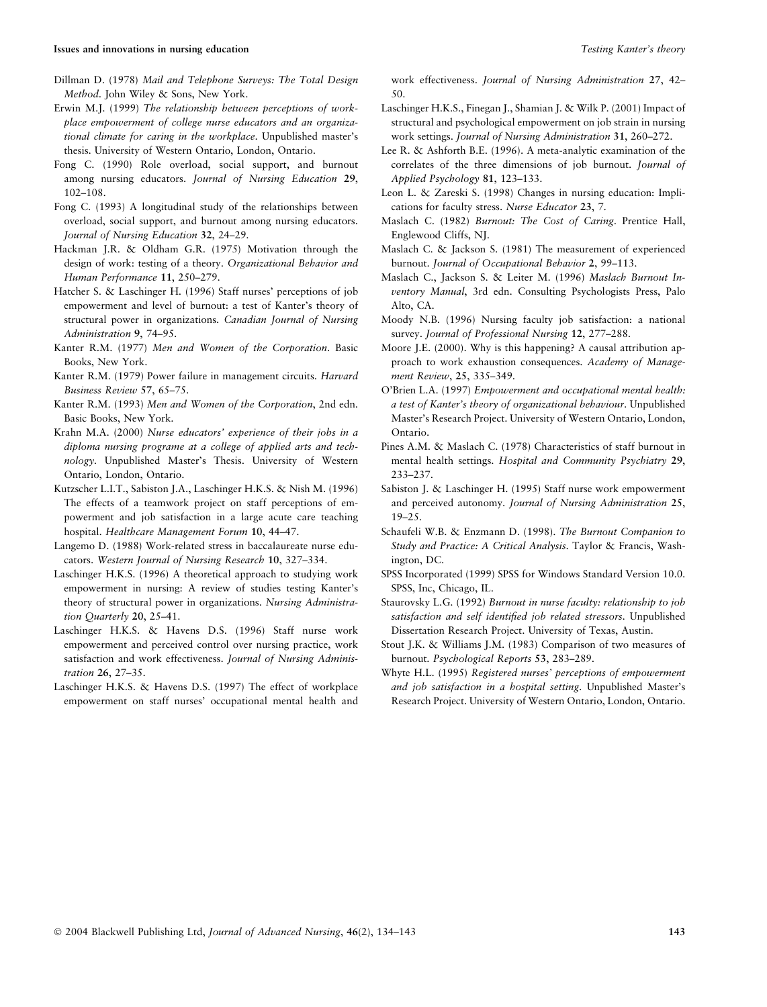- Dillman D. (1978) Mail and Telephone Surveys: The Total Design Method. John Wiley & Sons, New York.
- Erwin M.J. (1999) The relationship between perceptions of workplace empowerment of college nurse educators and an organizational climate for caring in the workplace. Unpublished master's thesis. University of Western Ontario, London, Ontario.
- Fong C. (1990) Role overload, social support, and burnout among nursing educators. Journal of Nursing Education 29, 102–108.
- Fong C. (1993) A longitudinal study of the relationships between overload, social support, and burnout among nursing educators. Journal of Nursing Education 32, 24–29.
- Hackman J.R. & Oldham G.R. (1975) Motivation through the design of work: testing of a theory. Organizational Behavior and Human Performance 11, 250–279.
- Hatcher S. & Laschinger H. (1996) Staff nurses' perceptions of job empowerment and level of burnout: a test of Kanter's theory of structural power in organizations. Canadian Journal of Nursing Administration 9, 74–95.
- Kanter R.M. (1977) Men and Women of the Corporation. Basic Books, New York.
- Kanter R.M. (1979) Power failure in management circuits. Harvard Business Review 57, 65–75.
- Kanter R.M. (1993) Men and Women of the Corporation, 2nd edn. Basic Books, New York.
- Krahn M.A. (2000) Nurse educators' experience of their jobs in a diploma nursing programe at a college of applied arts and technology. Unpublished Master's Thesis. University of Western Ontario, London, Ontario.
- Kutzscher L.I.T., Sabiston J.A., Laschinger H.K.S. & Nish M. (1996) The effects of a teamwork project on staff perceptions of empowerment and job satisfaction in a large acute care teaching hospital. Healthcare Management Forum 10, 44–47.
- Langemo D. (1988) Work-related stress in baccalaureate nurse educators. Western Journal of Nursing Research 10, 327–334.
- Laschinger H.K.S. (1996) A theoretical approach to studying work empowerment in nursing: A review of studies testing Kanter's theory of structural power in organizations. Nursing Administration Quarterly 20, 25–41.
- Laschinger H.K.S. & Havens D.S. (1996) Staff nurse work empowerment and perceived control over nursing practice, work satisfaction and work effectiveness. Journal of Nursing Administration 26, 27–35.
- Laschinger H.K.S. & Havens D.S. (1997) The effect of workplace empowerment on staff nurses' occupational mental health and

work effectiveness. Journal of Nursing Administration 27, 42– 50.

- Laschinger H.K.S., Finegan J., Shamian J. & Wilk P. (2001) Impact of structural and psychological empowerment on job strain in nursing work settings. Journal of Nursing Administration 31, 260–272.
- Lee R. & Ashforth B.E. (1996). A meta-analytic examination of the correlates of the three dimensions of job burnout. Journal of Applied Psychology 81, 123–133.
- Leon L. & Zareski S. (1998) Changes in nursing education: Implications for faculty stress. Nurse Educator 23, 7.
- Maslach C. (1982) Burnout: The Cost of Caring. Prentice Hall, Englewood Cliffs, NJ.
- Maslach C. & Jackson S. (1981) The measurement of experienced burnout. Journal of Occupational Behavior 2, 99–113.
- Maslach C., Jackson S. & Leiter M. (1996) Maslach Burnout Inventory Manual, 3rd edn. Consulting Psychologists Press, Palo Alto, CA.
- Moody N.B. (1996) Nursing faculty job satisfaction: a national survey. Journal of Professional Nursing 12, 277–288.
- Moore J.E. (2000). Why is this happening? A causal attribution approach to work exhaustion consequences. Academy of Management Review, 25, 335–349.
- O'Brien L.A. (1997) Empowerment and occupational mental health: a test of Kanter's theory of organizational behaviour. Unpublished Master's Research Project. University of Western Ontario, London, Ontario.
- Pines A.M. & Maslach C. (1978) Characteristics of staff burnout in mental health settings. Hospital and Community Psychiatry 29, 233–237.
- Sabiston J. & Laschinger H. (1995) Staff nurse work empowerment and perceived autonomy. Journal of Nursing Administration 25, 19–25.
- Schaufeli W.B. & Enzmann D. (1998). The Burnout Companion to Study and Practice: A Critical Analysis. Taylor & Francis, Washington, DC.
- SPSS Incorporated (1999) SPSS for Windows Standard Version 10.0. SPSS, Inc, Chicago, IL.
- Staurovsky L.G. (1992) Burnout in nurse faculty: relationship to job satisfaction and self identified job related stressors. Unpublished Dissertation Research Project. University of Texas, Austin.
- Stout J.K. & Williams J.M. (1983) Comparison of two measures of burnout. Psychological Reports 53, 283–289.
- Whyte H.L. (1995) Registered nurses' perceptions of empowerment and job satisfaction in a hospital setting. Unpublished Master's Research Project. University of Western Ontario, London, Ontario.